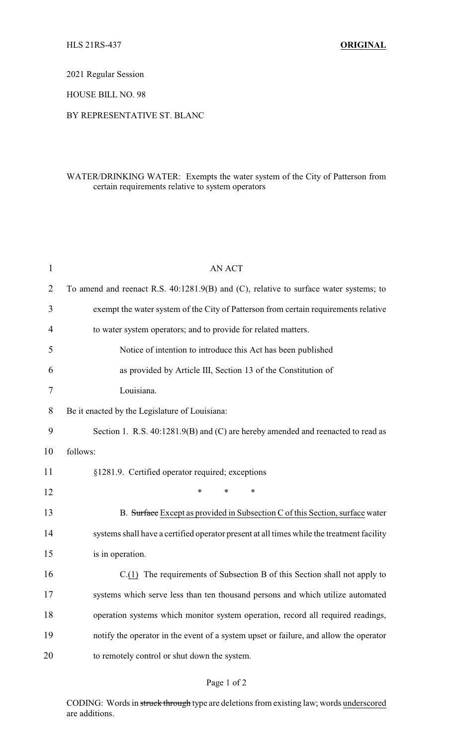2021 Regular Session

HOUSE BILL NO. 98

## BY REPRESENTATIVE ST. BLANC

## WATER/DRINKING WATER: Exempts the water system of the City of Patterson from certain requirements relative to system operators

| $\mathbf{1}$   | <b>AN ACT</b>                                                                             |
|----------------|-------------------------------------------------------------------------------------------|
| $\overline{2}$ | To amend and reenact R.S. 40:1281.9(B) and (C), relative to surface water systems; to     |
| 3              | exempt the water system of the City of Patterson from certain requirements relative       |
| 4              | to water system operators; and to provide for related matters.                            |
| 5              | Notice of intention to introduce this Act has been published                              |
| 6              | as provided by Article III, Section 13 of the Constitution of                             |
| 7              | Louisiana.                                                                                |
| 8              | Be it enacted by the Legislature of Louisiana:                                            |
| 9              | Section 1. R.S. 40:1281.9(B) and (C) are hereby amended and reenacted to read as          |
| 10             | follows:                                                                                  |
| 11             | §1281.9. Certified operator required; exceptions                                          |
| 12             | *<br>*<br>∗                                                                               |
| 13             | B. Surface Except as provided in Subsection C of this Section, surface water              |
| 14             | systems shall have a certified operator present at all times while the treatment facility |
| 15             | is in operation.                                                                          |
| 16             | $C(1)$ The requirements of Subsection B of this Section shall not apply to                |
| 17             | systems which serve less than ten thousand persons and which utilize automated            |
| 18             | operation systems which monitor system operation, record all required readings,           |
| 19             | notify the operator in the event of a system upset or failure, and allow the operator     |
| 20             | to remotely control or shut down the system.                                              |
|                |                                                                                           |

## Page 1 of 2

CODING: Words in struck through type are deletions from existing law; words underscored are additions.